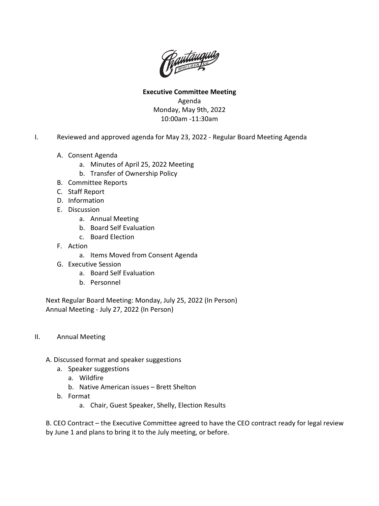

**Executive Committee Meeting** Agenda Monday, May 9th, 2022 10:00am -11:30am

- I. Reviewed and approved agenda for May 23, 2022 Regular Board Meeting Agenda
	- A. Consent Agenda
		- a. Minutes of April 25, 2022 Meeting
		- b. Transfer of Ownership Policy
	- B. Committee Reports
	- C. Staff Report
	- D. Information
	- E. Discussion
		- a. Annual Meeting
		- b. Board Self Evaluation
		- c. Board Election
	- F. Action
		- a. Items Moved from Consent Agenda
	- G. Executive Session
		- a. Board Self Evaluation
		- b. Personnel

Next Regular Board Meeting: Monday, July 25, 2022 (In Person) Annual Meeting - July 27, 2022 (In Person)

- II. Annual Meeting
	- A. Discussed format and speaker suggestions
		- a. Speaker suggestions
			- a. Wildfire
			- b. Native American issues Brett Shelton
		- b. Format
			- a. Chair, Guest Speaker, Shelly, Election Results

B. CEO Contract – the Executive Committee agreed to have the CEO contract ready for legal review by June 1 and plans to bring it to the July meeting, or before.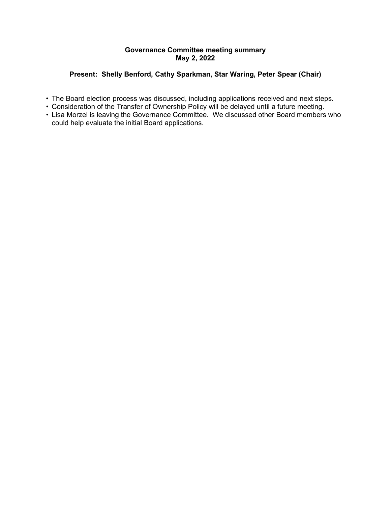# **Governance Committee meeting summary May 2, 2022**

# **Present: Shelly Benford, Cathy Sparkman, Star Waring, Peter Spear (Chair)**

- The Board election process was discussed, including applications received and next steps.
- Consideration of the Transfer of Ownership Policy will be delayed until a future meeting.
- Lisa Morzel is leaving the Governance Committee. We discussed other Board members who could help evaluate the initial Board applications.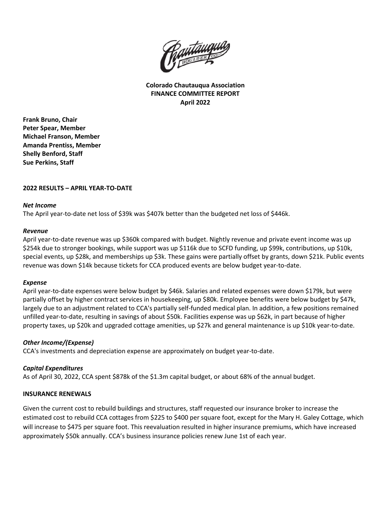

**Colorado Chautauqua Association FINANCE COMMITTEE REPORT April 2022**

**Frank Bruno, Chair Peter Spear, Member Michael Franson, Member Amanda Prentiss, Member Shelly Benford, Staff Sue Perkins, Staff**

# **2022 RESULTS – APRIL YEAR-TO-DATE**

### *Net Income*

The April year-to-date net loss of \$39k was \$407k better than the budgeted net loss of \$446k.

# *Revenue*

April year-to-date revenue was up \$360k compared with budget. Nightly revenue and private event income was up \$254k due to stronger bookings, while support was up \$116k due to SCFD funding, up \$99k, contributions, up \$10k, special events, up \$28k, and memberships up \$3k. These gains were partially offset by grants, down \$21k. Public events revenue was down \$14k because tickets for CCA produced events are below budget year-to-date.

# *Expense*

April year-to-date expenses were below budget by \$46k. Salaries and related expenses were down \$179k, but were partially offset by higher contract services in housekeeping, up \$80k. Employee benefits were below budget by \$47k, largely due to an adjustment related to CCA's partially self-funded medical plan. In addition, a few positions remained unfilled year-to-date, resulting in savings of about \$50k. Facilities expense was up \$62k, in part because of higher property taxes, up \$20k and upgraded cottage amenities, up \$27k and general maintenance is up \$10k year-to-date.

# *Other Income/(Expense)*

CCA's investments and depreciation expense are approximately on budget year-to-date.

# *Capital Expenditures*

As of April 30, 2022, CCA spent \$878k of the \$1.3m capital budget, or about 68% of the annual budget.

# **INSURANCE RENEWALS**

Given the current cost to rebuild buildings and structures, staff requested our insurance broker to increase the estimated cost to rebuild CCA cottages from \$225 to \$400 per square foot, except for the Mary H. Galey Cottage, which will increase to \$475 per square foot. This reevaluation resulted in higher insurance premiums, which have increased approximately \$50k annually. CCA's business insurance policies renew June 1st of each year.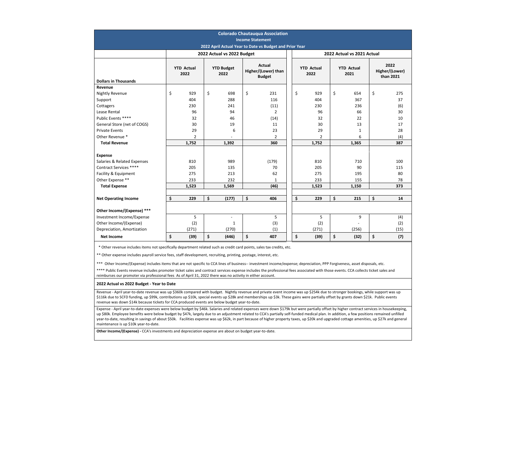|                                                                                                                                                                                                                                                                                                                                                                                                                                                                                                                                                                                                                                                                                                                               |       |                           |                           |                            | <b>Income Statement</b>                               | <b>Colorado Chautauqua Association</b><br>2022 April Actual Year to Date vs Budget and Prior Year |                           |                          |                           |                            |                                     |                        |
|-------------------------------------------------------------------------------------------------------------------------------------------------------------------------------------------------------------------------------------------------------------------------------------------------------------------------------------------------------------------------------------------------------------------------------------------------------------------------------------------------------------------------------------------------------------------------------------------------------------------------------------------------------------------------------------------------------------------------------|-------|---------------------------|---------------------------|----------------------------|-------------------------------------------------------|---------------------------------------------------------------------------------------------------|---------------------------|--------------------------|---------------------------|----------------------------|-------------------------------------|------------------------|
|                                                                                                                                                                                                                                                                                                                                                                                                                                                                                                                                                                                                                                                                                                                               |       |                           |                           | 2022 Actual vs 2022 Budget |                                                       |                                                                                                   |                           |                          |                           | 2022 Actual vs 2021 Actual |                                     |                        |
|                                                                                                                                                                                                                                                                                                                                                                                                                                                                                                                                                                                                                                                                                                                               |       | <b>YTD Actual</b><br>2022 | <b>YTD Budget</b><br>2022 |                            | <b>Actual</b><br>Higher/(Lower) than<br><b>Budget</b> |                                                                                                   | <b>YTD Actual</b><br>2022 |                          | <b>YTD Actual</b><br>2021 |                            | 2022<br>Higher/(Lower)<br>than 2021 |                        |
| <b>Dollars in Thousands</b>                                                                                                                                                                                                                                                                                                                                                                                                                                                                                                                                                                                                                                                                                                   |       |                           |                           |                            |                                                       |                                                                                                   |                           |                          |                           |                            |                                     |                        |
| Revenue<br><b>Nightly Revenue</b><br>Support                                                                                                                                                                                                                                                                                                                                                                                                                                                                                                                                                                                                                                                                                  | \$    | 929<br>404                | \$                        | 698<br>288                 | \$                                                    | 231<br>116                                                                                        | \$                        | 929<br>404               | \$                        | 654<br>367                 | \$                                  | 275<br>37              |
| Cottagers<br>Lease Rental<br>Public Events ****                                                                                                                                                                                                                                                                                                                                                                                                                                                                                                                                                                                                                                                                               |       | 230<br>96<br>32           |                           | 241<br>94<br>46            |                                                       | (11)<br>2<br>(14)                                                                                 |                           | 230<br>96<br>32          |                           | 236<br>66<br>22            |                                     | (6)<br>30<br>10        |
| General Store (net of COGS)<br><b>Private Events</b>                                                                                                                                                                                                                                                                                                                                                                                                                                                                                                                                                                                                                                                                          |       | 30<br>29                  |                           | 19<br>6                    |                                                       | 11<br>23                                                                                          |                           | 30<br>29                 |                           | 13<br>1                    |                                     | 17<br>28               |
| Other Revenue *<br><b>Total Revenue</b>                                                                                                                                                                                                                                                                                                                                                                                                                                                                                                                                                                                                                                                                                       |       | 2<br>1,752                |                           | 1,392                      |                                                       | 2<br>360                                                                                          |                           | 2<br>1,752               |                           | 6<br>1,365                 |                                     | (4)<br>387             |
| <b>Expense</b><br>Salaries & Related Expenses<br>Contract Services ****<br>Facility & Equipment<br>Other Expense **                                                                                                                                                                                                                                                                                                                                                                                                                                                                                                                                                                                                           |       | 810<br>205<br>275<br>233  |                           | 989<br>135<br>213<br>232   |                                                       | (179)<br>70<br>62<br>1                                                                            |                           | 810<br>205<br>275<br>233 |                           | 710<br>90<br>195<br>155    |                                     | 100<br>115<br>80<br>78 |
| <b>Total Expense</b>                                                                                                                                                                                                                                                                                                                                                                                                                                                                                                                                                                                                                                                                                                          | 1,523 |                           | 1,569                     |                            | (46)                                                  |                                                                                                   |                           | 1,523                    |                           | 1,150                      | 373                                 |                        |
| <b>Net Operating Income</b>                                                                                                                                                                                                                                                                                                                                                                                                                                                                                                                                                                                                                                                                                                   | \$    | 229                       | \$                        | (177)                      | \$                                                    | 406                                                                                               | \$                        | 229                      | \$                        | 215                        | \$                                  | 14                     |
| Other Income/(Expense) ***<br>Investment Income/Expense<br>Other Income/(Expense)<br>Depreciation, Amortization                                                                                                                                                                                                                                                                                                                                                                                                                                                                                                                                                                                                               |       | 5<br>(2)<br>(271)         |                           | 1<br>(270)                 |                                                       | 5<br>(3)<br>(1)                                                                                   |                           | 5<br>(2)<br>(271)        |                           | 9<br>(256)                 |                                     | (4)<br>(2)<br>(15)     |
| <b>Net Income</b>                                                                                                                                                                                                                                                                                                                                                                                                                                                                                                                                                                                                                                                                                                             | \$    | (39)                      | \$                        | (446)                      | \$                                                    | 407                                                                                               | \$                        | (39)                     | \$                        | (32)                       | \$                                  | (7)                    |
| * Other revenue includes items not specifically department related such as credit card points, sales tax credits, etc.<br>** Other expense includes payroll service fees, staff development, recruiting, printing, postage, interest, etc.<br>*** Other Income/(Expense) includes items that are not specific to CCA lines of business-- investment income/expense; depreciation, PPP Forgiveness, asset disposals, etc.<br>**** Public Events revenue includes promoter ticket sales and contract services expense includes the professional fees associated with those events. CCA collects ticket sales and<br>reimburses our promoter via professional fees As of April 31, 2022 there was no activity in either account. |       |                           |                           |                            |                                                       |                                                                                                   |                           |                          |                           |                            |                                     |                        |
| 2022 Actual vs 2022 Budget - Year to Date<br>Revenue - April year-to-date revenue was up \$360k compared with budget. Nightly revenue and private event income was up \$254k due to stronger bookings, while support was up                                                                                                                                                                                                                                                                                                                                                                                                                                                                                                   |       |                           |                           |                            |                                                       |                                                                                                   |                           |                          |                           |                            |                                     |                        |
| \$116k due to SCFD funding, up \$99k, contributions up \$10k, special events up \$28k and memberships up \$3k. These gains were partially offset by grants down \$21k. Public events<br>revenue was down \$14k because tickets for CCA produced events are below budget year-to-date.                                                                                                                                                                                                                                                                                                                                                                                                                                         |       |                           |                           |                            |                                                       |                                                                                                   |                           |                          |                           |                            |                                     |                        |
| Expense - April year-to-date expenses were below budget by \$46k. Salaries and related expenses were down \$179k but were partially offset by higher contract services in housekeeping,<br>up \$80k. Employee benefits were below budget by \$47k, largely due to an adjustment related to CCA's partially self-funded medical plan. In addition, a few positions remained unfilled<br>year-to-date, resulting in savings of about \$50k. Facilities expense was up \$62k, in part because of higher property taxes, up \$20k and upgraded cottage amenities, up \$27k and general<br>maintenance is up \$10k year-to-date.                                                                                                   |       |                           |                           |                            |                                                       |                                                                                                   |                           |                          |                           |                            |                                     |                        |

**Other Income/(Expense) -** CCA's investments and depreciation expense are about on budget year-to-date.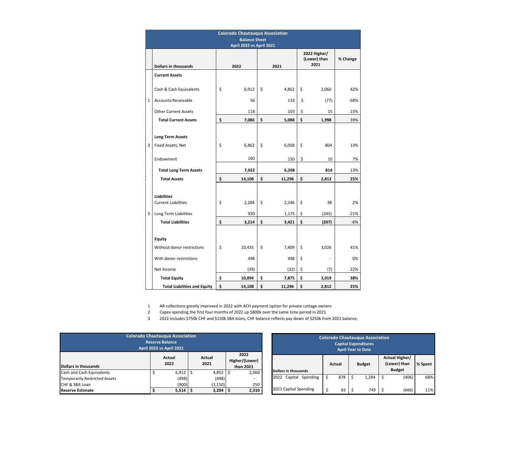|   | <b>Colorado Chautauqua Association</b>                  |    |        |    |        |    |                                      |          |  |  |  |  |
|---|---------------------------------------------------------|----|--------|----|--------|----|--------------------------------------|----------|--|--|--|--|
|   | <b>Balance Sheet</b><br><b>April 2022 vs April 2021</b> |    |        |    |        |    |                                      |          |  |  |  |  |
|   | <b>Dollars in thousands</b>                             |    | 2022   |    | 2021   |    | 2022 Higher/<br>(Lower) than<br>2021 | % Change |  |  |  |  |
|   | <b>Current Assets</b>                                   |    |        |    |        |    |                                      |          |  |  |  |  |
|   | Cash & Cash Equivalents                                 | \$ | 6,912  | \$ | 4,852  | \$ | 2,060                                | 42%      |  |  |  |  |
| 1 | <b>Accounts Receivable</b>                              |    | 56     |    | 133    | \$ | (77)                                 | $-58%$   |  |  |  |  |
|   | <b>Other Current Assets</b>                             |    | 118    |    | 103    | \$ | 15                                   | 15%      |  |  |  |  |
|   | <b>Total Current Assets</b>                             | \$ | 7,086  | \$ | 5,088  | \$ | 1,998                                | 39%      |  |  |  |  |
|   | <b>Long Term Assets</b>                                 |    |        |    |        |    |                                      |          |  |  |  |  |
| 3 | Fixed Assets, Net                                       | \$ | 6,862  | \$ | 6,058  | \$ | 804                                  | 13%      |  |  |  |  |
|   | Endowment                                               |    | 160    |    | 150    | \$ | 10                                   | 7%       |  |  |  |  |
|   | <b>Total Long Term Assets</b>                           |    | 7,022  |    | 6,208  |    | 814                                  | 13%      |  |  |  |  |
|   | <b>Total Assets</b>                                     | \$ | 14,108 | \$ | 11,296 | \$ | 2,812                                | 25%      |  |  |  |  |
|   | <b>Liabilities</b><br><b>Current Liabilities</b>        | \$ | 2,284  | \$ | 2,246  | \$ | 38                                   | 2%       |  |  |  |  |
| 3 | Long Term Liabilities                                   |    | 930    |    | 1,175  | \$ | (245)                                | $-21%$   |  |  |  |  |
|   | <b>Total Liabilities</b>                                | \$ | 3,214  | \$ | 3,421  | \$ | (207)                                | $-6%$    |  |  |  |  |
|   | <b>Equity</b>                                           |    |        |    |        |    |                                      |          |  |  |  |  |
|   | Without donor restrictions                              | \$ | 10,435 | \$ | 7,409  | \$ | 3,026                                | 41%      |  |  |  |  |
|   | With donor restrictions                                 |    | 498    |    | 498    | \$ |                                      | 0%       |  |  |  |  |
|   | Net Income                                              |    | (39)   |    | (32)   | \$ | (7)                                  | 22%      |  |  |  |  |
|   | <b>Total Equity</b>                                     | \$ | 10,894 | \$ | 7,875  | \$ | 3,019                                | 38%      |  |  |  |  |
|   | <b>Total Liabilities and Equity</b>                     | \$ | 14,108 | \$ | 11,296 | \$ | 2,812                                | 25%      |  |  |  |  |

1 AR collections greatly improved in 2022 with ACH payment option for private cottage owners

2 Capex spending the first four months of 2022 up \$800k over the same time period in 2021

3 2022 includes \$750k CHF and \$150k SBA loans, CHF balance reflects pay down of \$250k from 2021 balance.

| <b>Colorado Chautauqua Association</b><br><b>Reserve Balance</b><br><b>April 2022 vs April 2021</b> |  |                |                |          |                                     |       |  |  |  |  |
|-----------------------------------------------------------------------------------------------------|--|----------------|----------------|----------|-------------------------------------|-------|--|--|--|--|
| <b>Dollars in thousands</b>                                                                         |  | Actual<br>2022 | Actual<br>2021 |          | 2022<br>Higher/(Lower)<br>than 2021 |       |  |  |  |  |
| Cash and Cash Equivalents                                                                           |  | 6,912          |                | 4,852    |                                     | 2,060 |  |  |  |  |
| Temporarily Restricted Assets                                                                       |  | (498)          |                | (498)    |                                     |       |  |  |  |  |
| CHF & SBA Loan                                                                                      |  | (900)          |                | (1, 150) |                                     | 250   |  |  |  |  |
| <b>Reserve Estimate</b>                                                                             |  | 5,514          |                | 3,204    |                                     | 2,310 |  |  |  |  |

| <b>Colorado Chautauqua Association</b><br><b>Capital Expenditures</b><br><b>April Year to Date</b> |        |     |    |               |    |                                                 |         |  |  |  |  |
|----------------------------------------------------------------------------------------------------|--------|-----|----|---------------|----|-------------------------------------------------|---------|--|--|--|--|
| <b>Dollars in thousands</b>                                                                        | Actual |     |    | <b>Budget</b> |    | Actual Higher/<br>(Lower) than<br><b>Budget</b> | % Spent |  |  |  |  |
| Spending<br>2022<br>Capital                                                                        | \$     | 878 | \$ | 1,284         | \$ | (406)                                           | 68%     |  |  |  |  |
| 2021 Capital Spending                                                                              | \$     | 83  | Ś  | 749           |    | (666)                                           | 11%     |  |  |  |  |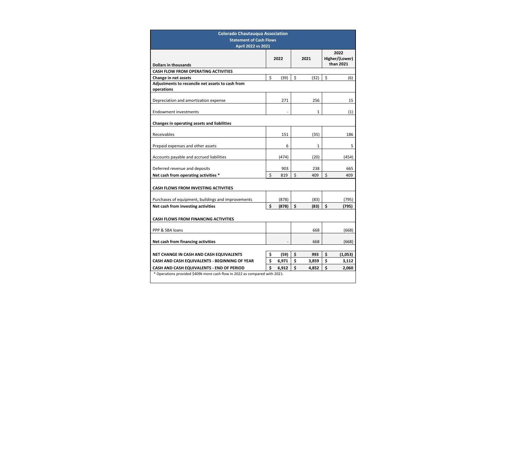| <b>Colorado Chautauqua Association</b>                                     |    |       |    |       |    |                        |  |  |  |  |  |
|----------------------------------------------------------------------------|----|-------|----|-------|----|------------------------|--|--|--|--|--|
| <b>Statement of Cash Flows</b>                                             |    |       |    |       |    |                        |  |  |  |  |  |
| <b>April 2022 vs 2021</b>                                                  |    |       |    |       |    |                        |  |  |  |  |  |
|                                                                            |    | 2022  |    | 2021  |    | 2022<br>Higher/(Lower) |  |  |  |  |  |
| <b>Dollars in thousands</b>                                                |    |       |    |       |    | than 2021              |  |  |  |  |  |
| <b>CASH FLOW FROM OPERATING ACTIVITIES</b>                                 |    |       |    |       |    |                        |  |  |  |  |  |
| Change in net assets                                                       | \$ | (39)  | \$ | (32)  | \$ | (6)                    |  |  |  |  |  |
| Adjustments to reconcile net assets to cash from                           |    |       |    |       |    |                        |  |  |  |  |  |
| operations                                                                 |    |       |    |       |    |                        |  |  |  |  |  |
| Depreciation and amortization expense                                      |    | 271   |    | 256   |    | 15                     |  |  |  |  |  |
| <b>Endowment investments</b>                                               |    |       |    | 1     |    | (1)                    |  |  |  |  |  |
|                                                                            |    |       |    |       |    |                        |  |  |  |  |  |
| Changes in operating assets and liabilities                                |    |       |    |       |    |                        |  |  |  |  |  |
| Receivables                                                                |    | 151   |    | (35)  |    | 186                    |  |  |  |  |  |
|                                                                            |    |       |    |       |    |                        |  |  |  |  |  |
| Prepaid expenses and other assets                                          |    | 6     |    | 1     |    | 5                      |  |  |  |  |  |
| Accounts payable and accrued liabilities                                   |    | (474) |    | (20)  |    | (454)                  |  |  |  |  |  |
| Deferred revenue and deposits                                              |    | 903   |    | 238   |    | 665                    |  |  |  |  |  |
| Net cash from operating activities *                                       | \$ | 819   | \$ | 409   | \$ | 409                    |  |  |  |  |  |
|                                                                            |    |       |    |       |    |                        |  |  |  |  |  |
| <b>CASH FLOWS FROM INVESTING ACTIVITIES</b>                                |    |       |    |       |    |                        |  |  |  |  |  |
| Purchases of equipment, buildings and improvements                         |    | (878) |    | (83)  |    | (795)                  |  |  |  |  |  |
| Net cash from investing activities                                         | \$ | (878) | \$ | (83)  | \$ | (795)                  |  |  |  |  |  |
|                                                                            |    |       |    |       |    |                        |  |  |  |  |  |
| <b>CASH FLOWS FROM FINANCING ACTIVITIES</b>                                |    |       |    |       |    |                        |  |  |  |  |  |
| PPP & SBA loans                                                            |    |       |    | 668   |    | (668)                  |  |  |  |  |  |
|                                                                            |    |       |    |       |    |                        |  |  |  |  |  |
| Net cash from financing activities                                         |    |       |    | 668   |    | (668)                  |  |  |  |  |  |
| NET CHANGE IN CASH AND CASH EQUIVALENTS                                    | \$ | (59)  | \$ | 993   | \$ | (1,053)                |  |  |  |  |  |
| CASH AND CASH EQUIVALENTS - BEGINNING OF YEAR                              | \$ | 6,971 | \$ | 3,859 | \$ | 3,112                  |  |  |  |  |  |
| CASH AND CASH EQUIVALENTS - END OF PERIOD                                  | \$ | 6,912 | \$ | 4,852 | \$ | 2,060                  |  |  |  |  |  |
| * Operations provided \$409k more cash flow in 2022 as compared with 2021. |    |       |    |       |    |                        |  |  |  |  |  |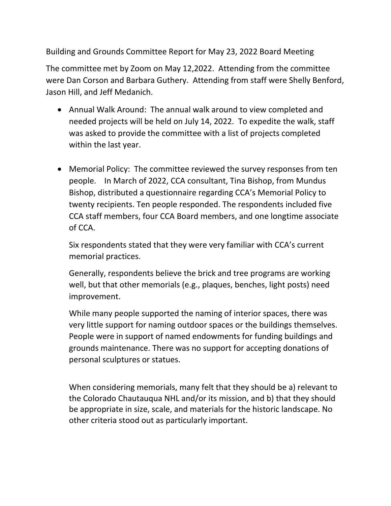Building and Grounds Committee Report for May 23, 2022 Board Meeting

The committee met by Zoom on May 12,2022. Attending from the committee were Dan Corson and Barbara Guthery. Attending from staff were Shelly Benford, Jason Hill, and Jeff Medanich.

- Annual Walk Around: The annual walk around to view completed and needed projects will be held on July 14, 2022. To expedite the walk, staff was asked to provide the committee with a list of projects completed within the last year.
- Memorial Policy: The committee reviewed the survey responses from ten people. In March of 2022, CCA consultant, Tina Bishop, from Mundus Bishop, distributed a questionnaire regarding CCA's Memorial Policy to twenty recipients. Ten people responded. The respondents included five CCA staff members, four CCA Board members, and one longtime associate of CCA.

Six respondents stated that they were very familiar with CCA's current memorial practices.

Generally, respondents believe the brick and tree programs are working well, but that other memorials (e.g., plaques, benches, light posts) need improvement.

While many people supported the naming of interior spaces, there was very little support for naming outdoor spaces or the buildings themselves. People were in support of named endowments for funding buildings and grounds maintenance. There was no support for accepting donations of personal sculptures or statues.

When considering memorials, many felt that they should be a) relevant to the Colorado Chautauqua NHL and/or its mission, and b) that they should be appropriate in size, scale, and materials for the historic landscape. No other criteria stood out as particularly important.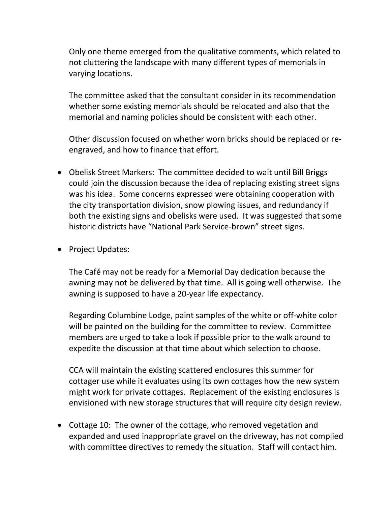Only one theme emerged from the qualitative comments, which related to not cluttering the landscape with many different types of memorials in varying locations.

The committee asked that the consultant consider in its recommendation whether some existing memorials should be relocated and also that the memorial and naming policies should be consistent with each other.

Other discussion focused on whether worn bricks should be replaced or reengraved, and how to finance that effort.

- Obelisk Street Markers: The committee decided to wait until Bill Briggs could join the discussion because the idea of replacing existing street signs was his idea. Some concerns expressed were obtaining cooperation with the city transportation division, snow plowing issues, and redundancy if both the existing signs and obelisks were used. It was suggested that some historic districts have "National Park Service-brown" street signs.
- Project Updates:

The Café may not be ready for a Memorial Day dedication because the awning may not be delivered by that time. All is going well otherwise. The awning is supposed to have a 20-year life expectancy.

Regarding Columbine Lodge, paint samples of the white or off-white color will be painted on the building for the committee to review. Committee members are urged to take a look if possible prior to the walk around to expedite the discussion at that time about which selection to choose.

CCA will maintain the existing scattered enclosures this summer for cottager use while it evaluates using its own cottages how the new system might work for private cottages. Replacement of the existing enclosures is envisioned with new storage structures that will require city design review.

• Cottage 10: The owner of the cottage, who removed vegetation and expanded and used inappropriate gravel on the driveway, has not complied with committee directives to remedy the situation. Staff will contact him.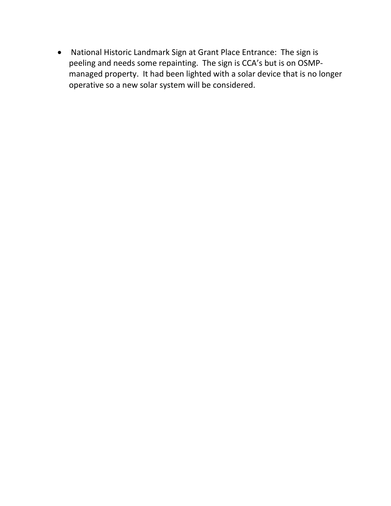• National Historic Landmark Sign at Grant Place Entrance: The sign is peeling and needs some repainting. The sign is CCA's but is on OSMPmanaged property. It had been lighted with a solar device that is no longer operative so a new solar system will be considered.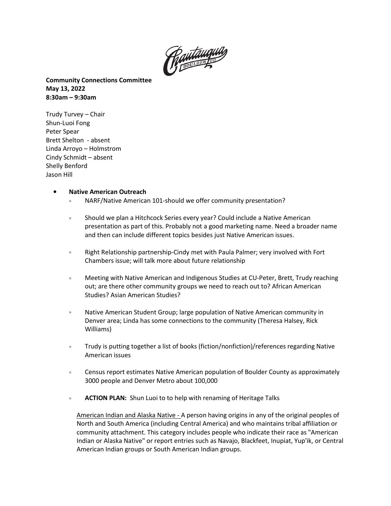

**Community Connections Committee May 13, 2022 8:30am – 9:30am**

Trudy Turvey – Chair Shun-Luoi Fong Peter Spear Brett Shelton - absent Linda Arroyo – Holmstrom Cindy Schmidt – absent Shelly Benford Jason Hill

### • **Native American Outreach**

- NARF/Native American 101-should we offer community presentation?
- Should we plan a Hitchcock Series every year? Could include a Native American presentation as part of this. Probably not a good marketing name. Need a broader name and then can include different topics besides just Native American issues.
- Right Relationship partnership-Cindy met with Paula Palmer; very involved with Fort Chambers issue; will talk more about future relationship
- Meeting with Native American and Indigenous Studies at CU-Peter, Brett, Trudy reaching out; are there other community groups we need to reach out to? African American Studies? Asian American Studies?
- Native American Student Group; large population of Native American community in Denver area; Linda has some connections to the community (Theresa Halsey, Rick Williams)
- Trudy is putting together a list of books (fiction/nonfiction)/references regarding Native American issues
- Census report estimates Native American population of Boulder County as approximately 3000 people and Denver Metro about 100,000
- **ACTION PLAN:** Shun Luoi to to help with renaming of Heritage Talks

American Indian and Alaska Native - A person having origins in any of the original peoples of North and South America (including Central America) and who maintains tribal affiliation or community attachment. This category includes people who indicate their race as "American Indian or Alaska Native" or report entries such as Navajo, Blackfeet, Inupiat, Yup'ik, or Central American Indian groups or South American Indian groups.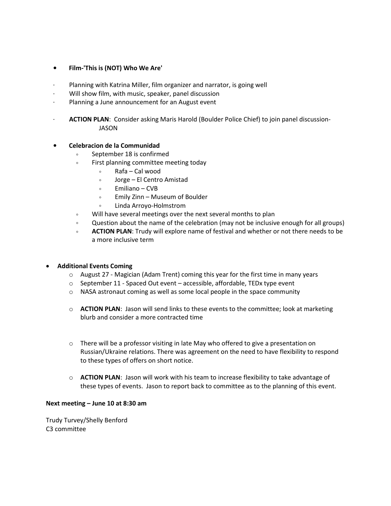# • **Film-'This is (NOT) Who We Are'**

- Planning with Katrina Miller, film organizer and narrator, is going well
- Will show film, with music, speaker, panel discussion
- · Planning a June announcement for an August event
- · **ACTION PLAN**: Consider asking Maris Harold (Boulder Police Chief) to join panel discussion-JASON

# • **Celebracion de la Communidad**

- September 18 is confirmed
- First planning committee meeting today
	- Rafa Cal wood
	- Jorge El Centro Amistad
	- Emiliano CVB
	- Emily Zinn Museum of Boulder
	- Linda Arroyo-Holmstrom
- Will have several meetings over the next several months to plan
- Question about the name of the celebration (may not be inclusive enough for all groups)
- **ACTION PLAN**: Trudy will explore name of festival and whether or not there needs to be a more inclusive term

# • **Additional Events Coming**

- $\circ$  August 27 Magician (Adam Trent) coming this year for the first time in many years
- $\circ$  September 11 Spaced Out event accessible, affordable, TEDx type event
- $\circ$  NASA astronaut coming as well as some local people in the space community
- o **ACTION PLAN**: Jason will send links to these events to the committee; look at marketing blurb and consider a more contracted time
- $\circ$  There will be a professor visiting in late May who offered to give a presentation on Russian/Ukraine relations. There was agreement on the need to have flexibility to respond to these types of offers on short notice.
- o **ACTION PLAN**: Jason will work with his team to increase flexibility to take advantage of these types of events. Jason to report back to committee as to the planning of this event.

#### **Next meeting – June 10 at 8:30 am**

Trudy Turvey/Shelly Benford C3 committee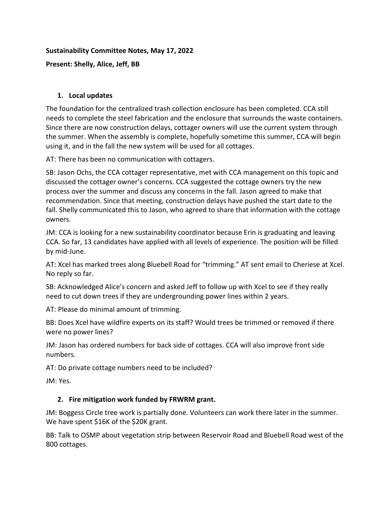# **Sustainability Committee Notes, May 17, 2022**

**Present: Shelly, Alice, Jeff, BB**

# **1. Local updates**

The foundation for the centralized trash collection enclosure has been completed. CCA still needs to complete the steel fabrication and the enclosure that surrounds the waste containers. Since there are now construction delays, cottager owners will use the current system through the summer. When the assembly is complete, hopefully sometime this summer, CCA will begin using it, and in the fall the new system will be used for all cottages.

AT: There has been no communication with cottagers.

SB: Jason Ochs, the CCA cottager representative, met with CCA management on this topic and discussed the cottager owner's concerns. CCA suggested the cottage owners try the new process over the summer and discuss any concerns in the fall. Jason agreed to make that recommendation. Since that meeting, construction delays have pushed the start date to the fall. Shelly communicated this to Jason, who agreed to share that information with the cottage owners.

JM: CCA is looking for a new sustainability coordinator because Erin is graduating and leaving CCA. So far, 13 candidates have applied with all levels of experience. The position will be filled by mid-June.

AT: Xcel has marked trees along Bluebell Road for "trimming." AT sent email to Cheriese at Xcel. No reply so far.

SB: Acknowledged Alice's concern and asked Jeff to follow up with Xcel to see if they really need to cut down trees if they are undergrounding power lines within 2 years.

AT: Please do minimal amount of trimming.

BB: Does Xcel have wildfire experts on its staff? Would trees be trimmed or removed if there were no power lines?

JM: Jason has ordered numbers for back side of cottages. CCA will also improve front side numbers.

AT: Do private cottage numbers need to be included?

JM: Yes.

# **2. Fire mitigation work funded by FRWRM grant.**

JM: Boggess Circle tree work is partially done. Volunteers can work there later in the summer. We have spent \$16K of the \$20K grant.

BB: Talk to OSMP about vegetation strip between Reservoir Road and Bluebell Road west of the 800 cottages.